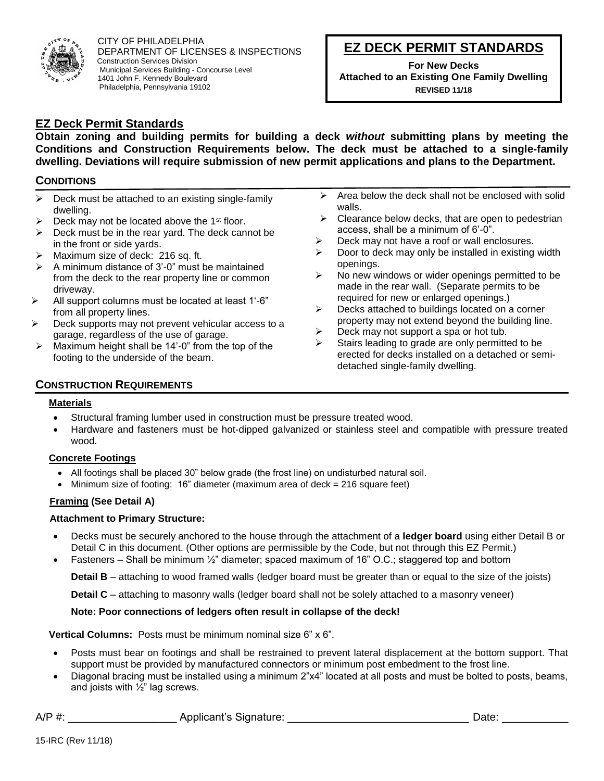

CITY OF PHILADELPHIA DEPARTMENT OF LICENSES & INSPECTIONS Construction Services Division Municipal Services Building - Concourse Level 1401 John F. Kennedy Boulevard Philadelphia, Pennsylvania 19102

# **EZ DECK PERMIT STANDARDS**

**For New Decks Attached to an Existing One Family Dwelling REVISED 11/18**

## **EZ Deck Permit Standards**

**Obtain zoning and building permits for building a deck** *without* **submitting plans by meeting the Conditions and Construction Requirements below. The deck must be attached to a single-family dwelling. Deviations will require submission of new permit applications and plans to the Department.**

## **CONDITIONS**

- $\triangleright$  Deck must be attached to an existing single-family dwelling.
- Deck may not be located above the 1<sup>st</sup> floor.
- $\triangleright$  Deck must be in the rear yard. The deck cannot be in the front or side yards.
- ➢ Maximum size of deck: 216 sq. ft.
- A minimum distance of 3'-0" must be maintained from the deck to the rear property line or common driveway.
- ➢ All support columns must be located at least 1'-6" from all property lines.
- ➢ Deck supports may not prevent vehicular access to a garage, regardless of the use of garage.
- ➢ Maximum height shall be 14'-0" from the top of the footing to the underside of the beam.
- $\triangleright$  Area below the deck shall not be enclosed with solid walls.
- $\triangleright$  Clearance below decks, that are open to pedestrian access, shall be a minimum of 6'-0".
- $\triangleright$  Deck may not have a roof or wall enclosures.
- $\triangleright$  Door to deck may only be installed in existing width openings.
- ➢ No new windows or wider openings permitted to be made in the rear wall. (Separate permits to be required for new or enlarged openings.)
- ➢ Decks attached to buildings located on a corner property may not extend beyond the building line.
- $\triangleright$  Deck may not support a spa or hot tub.
- Stairs leading to grade are only permitted to be erected for decks installed on a detached or semidetached single-family dwelling.

## **CONSTRUCTION REQUIREMENTS**

## **Materials**

- Structural framing lumber used in construction must be pressure treated wood.
- Hardware and fasteners must be hot-dipped galvanized or stainless steel and compatible with pressure treated wood.

## **Concrete Footings**

- All footings shall be placed 30" below grade (the frost line) on undisturbed natural soil.
- Minimum size of footing:  $16$ " diameter (maximum area of deck  $= 216$  square feet)

## **Framing (See Detail A)**

## **Attachment to Primary Structure:**

- Decks must be securely anchored to the house through the attachment of a **ledger board** using either Detail B or Detail C in this document. (Other options are permissible by the Code, but not through this EZ Permit.)
- Fasteners Shall be minimum  $\frac{1}{2}$ " diameter; spaced maximum of 16" O.C.; staggered top and bottom

**Detail B** – attaching to wood framed walls (ledger board must be greater than or equal to the size of the joists)

**Detail C** – attaching to masonry walls (ledger board shall not be solely attached to a masonry veneer)

## **Note: Poor connections of ledgers often result in collapse of the deck!**

**Vertical Columns:** Posts must be minimum nominal size 6" x 6".

- Posts must bear on footings and shall be restrained to prevent lateral displacement at the bottom support. That support must be provided by manufactured connectors or minimum post embedment to the frost line.
- Diagonal bracing must be installed using a minimum 2"x4" located at all posts and must be bolted to posts, beams, and joists with ½" lag screws.

|  | A/P | Applicant's<br>t´s Signature: | 721 P |
|--|-----|-------------------------------|-------|
|--|-----|-------------------------------|-------|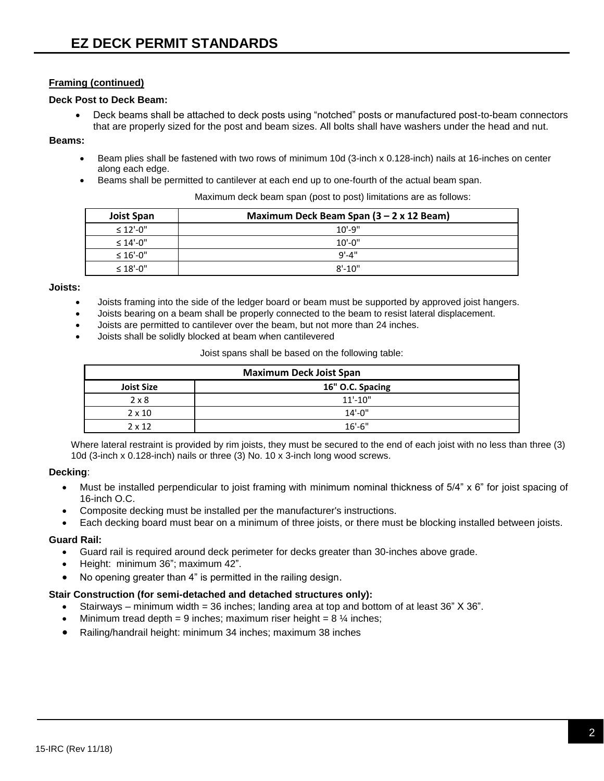## **Framing (continued)**

#### **Deck Post to Deck Beam:**

• Deck beams shall be attached to deck posts using "notched" posts or manufactured post-to-beam connectors that are properly sized for the post and beam sizes. All bolts shall have washers under the head and nut.

#### **Beams:**

- Beam plies shall be fastened with two rows of minimum 10d (3-inch x 0.128-inch) nails at 16-inches on center along each edge.
- Beams shall be permitted to cantilever at each end up to one-fourth of the actual beam span.

Maximum deck beam span (post to post) limitations are as follows:

| <b>Joist Span</b> | Maximum Deck Beam Span $(3 - 2 \times 12$ Beam) |  |
|-------------------|-------------------------------------------------|--|
| $\leq 12'$ -0"    | $10' - 9''$                                     |  |
| $\leq 14'$ -0"    | $10' - 0''$                                     |  |
| $\leq 16'$ -0"    | 9'-4"                                           |  |
| $\leq 18'$ -0"    | $8' - 10''$                                     |  |

#### **Joists:**

- Joists framing into the side of the ledger board or beam must be supported by approved joist hangers.
- Joists bearing on a beam shall be properly connected to the beam to resist lateral displacement.
- Joists are permitted to cantilever over the beam, but not more than 24 inches.
- Joists shall be solidly blocked at beam when cantilevered

Joist spans shall be based on the following table:

| <b>Maximum Deck Joist Span</b> |                  |  |
|--------------------------------|------------------|--|
| <b>Joist Size</b>              | 16" O.C. Spacing |  |
| $2 \times 8$                   | $11' - 10''$     |  |
| $2 \times 10$                  | $14' - 0''$      |  |
| $2 \times 12$                  | $16'$ -6"        |  |

Where lateral restraint is provided by rim joists, they must be secured to the end of each joist with no less than three (3) 10d (3-inch x 0.128-inch) nails or three (3) No. 10 x 3-inch long wood screws.

## **Decking**:

- Must be installed perpendicular to joist framing with minimum nominal thickness of 5/4" x 6" for joist spacing of 16-inch O.C.
- Composite decking must be installed per the manufacturer's instructions.
- Each decking board must bear on a minimum of three joists, or there must be blocking installed between joists.

## **Guard Rail:**

- Guard rail is required around deck perimeter for decks greater than 30-inches above grade.
- Height: minimum 36"; maximum 42".
- No opening greater than 4" is permitted in the railing design.

## **Stair Construction (for semi-detached and detached structures only):**

- Stairways minimum width = 36 inches; landing area at top and bottom of at least 36" X 36".
- Minimum tread depth = 9 inches; maximum riser height =  $8\frac{1}{4}$  inches;
- Railing/handrail height: minimum 34 inches; maximum 38 inches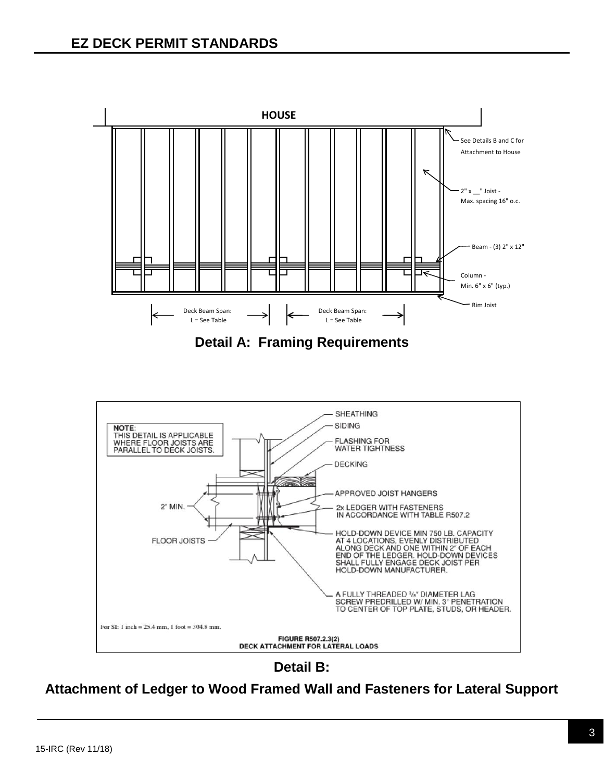

**Detail A: Framing Requirements**



**Detail B:** 

**Attachment of Ledger to Wood Framed Wall and Fasteners for Lateral Support**